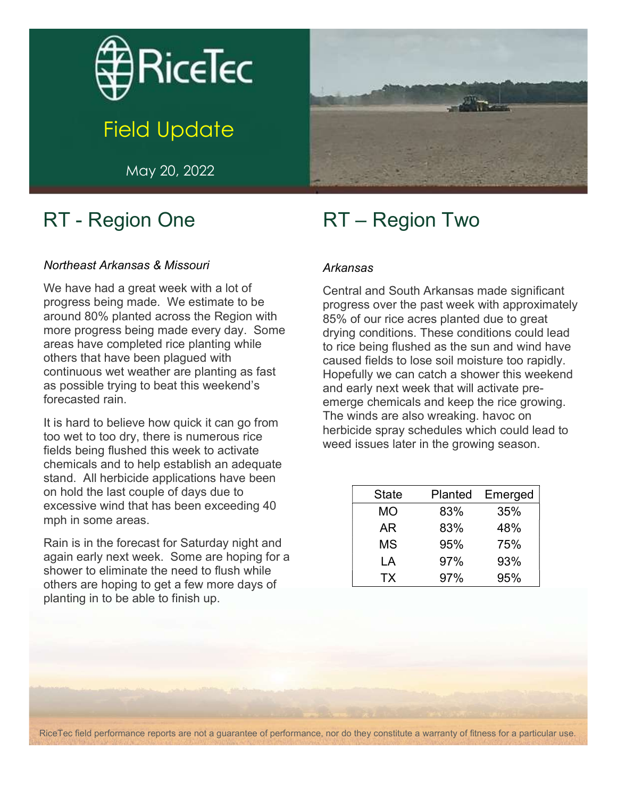

# Field Update

May 20, 2022

### RT - Region One

#### Northeast Arkansas & Missouri

We have had a great week with a lot of progress being made. We estimate to be around 80% planted across the Region with more progress being made every day. Some areas have completed rice planting while others that have been plagued with continuous wet weather are planting as fast as possible trying to beat this weekend's forecasted rain.

It is hard to believe how quick it can go from too wet to too dry, there is numerous rice fields being flushed this week to activate chemicals and to help establish an adequate stand. All herbicide applications have been on hold the last couple of days due to excessive wind that has been exceeding 40 mph in some areas.

Rain is in the forecast for Saturday night and again early next week. Some are hoping for a shower to eliminate the need to flush while others are hoping to get a few more days of planting in to be able to finish up.



#### Arkansas

Central and South Arkansas made significant progress over the past week with approximately 85% of our rice acres planted due to great drying conditions. These conditions could lead to rice being flushed as the sun and wind have caused fields to lose soil moisture too rapidly. Hopefully we can catch a shower this weekend and early next week that will activate preemerge chemicals and keep the rice growing. The winds are also wreaking. havoc on herbicide spray schedules which could lead to weed issues later in the growing season.

| <b>State</b> | Planted | Emerged |
|--------------|---------|---------|
| МO           | 83%     | 35%     |
| AR           | 83%     | 48%     |
| MS           | 95%     | 75%     |
| LA           | 97%     | 93%     |
| TX           | 97%     | 95%     |

RiceTec field performance reports are not a guarantee of performance, nor do they constitute a warranty of fitness for a particular use.